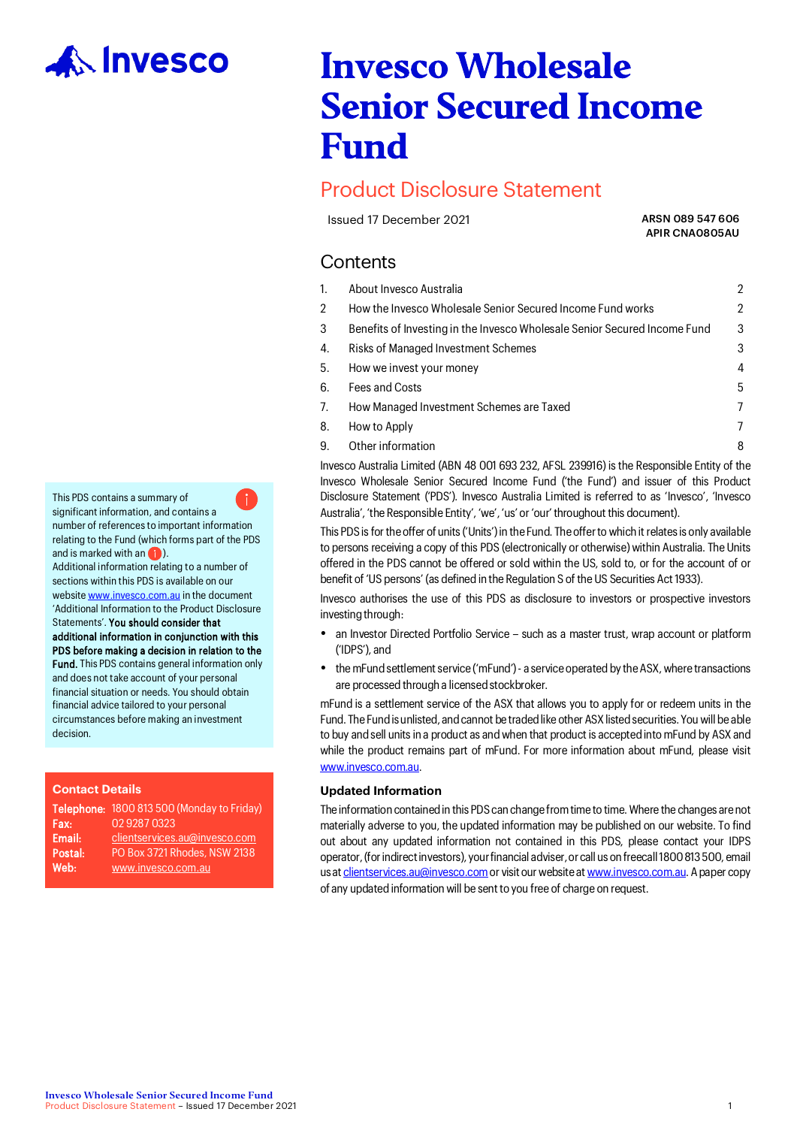

# Invesco Wholesale Senior Secured Income Fund

# Product Disclosure Statement

Issued 17 December 2021 **ARSN 089 547 606** 

APIR CNA0805AU

# **Contents**

| 1. | About Invesco Australia                                                   | 2 |
|----|---------------------------------------------------------------------------|---|
| 2  | How the Invesco Wholesale Senior Secured Income Fund works                | 2 |
| 3  | Benefits of Investing in the Invesco Wholesale Senior Secured Income Fund | 3 |
| 4. | Risks of Managed Investment Schemes                                       | 3 |
| 5. | How we invest your money                                                  | 4 |
| 6. | Fees and Costs                                                            | 5 |
| 7. | How Managed Investment Schemes are Taxed                                  | 7 |
| 8. | How to Apply                                                              | 7 |
| 9. | Other information                                                         | 8 |

Invesco Australia Limited (ABN 48 001 693 232, AFSL 239916) is the Responsible Entity of the Invesco Wholesale Senior Secured Income Fund ('the Fund') and issuer of this Product Disclosure Statement ('PDS'). Invesco Australia Limited is referred to as 'Invesco', 'Invesco Australia', 'the Responsible Entity', 'we', 'us' or 'our' throughout this document).

This PDS is for the offer of units ('Units') in the Fund. The offer to which it relates is only available to persons receiving a copy of this PDS (electronically or otherwise) within Australia. The Units offered in the PDS cannot be offered or sold within the US, sold to, or for the account of or benefit of 'US persons' (as defined in the Regulation S of the US Securities Act 1933).

Invesco authorises the use of this PDS as disclosure to investors or prospective investors investing through:

- an Investor Directed Portfolio Service such as a master trust, wrap account or platform ('IDPS'), and
- the mFund settlement service ('mFund') a service operated by the ASX, where transactions are processed through a licensed stockbroker.

mFund is a settlement service of the ASX that allows you to apply for or redeem units in the Fund. The Fund is unlisted, and cannot be traded like other ASX listed securities. You will be able to buy and sell units in a product as and when that product is accepted into mFund by ASX and while the product remains part of mFund. For more information about mFund, please visit [www.invesco.com.au.](http://www.invesco.com.au/)

# **Updated Information**

The information contained in this PDS can change from time to time. Where the changes are not materially adverse to you, the updated information may be published on our website. To find out about any updated information not contained in this PDS, please contact your IDPS operator, (for indirect investors), your financial adviser, or call us on freecall 1800 813 500, email us at clientservices.au@invesco.com or visit our website at www.invesco.com.au. A paper copy of any updated information will be sent to you free of charge on request.

number of references to important information relating to the Fund (which forms part of the PDS and is marked with an **(iii**). Additional information relating to a number of sections within this PDS is available on our websit[e www.invesco.com.au](http://www.invesco.com.au/) in the document 'Additional Information to the Product Disclosure Statements'. You should consider that additional information in conjunction with this PDS before making a decision in relation to the Fund. This PDS contains general information only and does not take account of your personal financial situation or needs. You should obtain financial advice tailored to your personal

circumstances before making an investment

This PDS contains a summary of significant information, and contains a

**Contact Details**

decision.

|         | Telephone: 1800 813 500 (Monday to Friday) |
|---------|--------------------------------------------|
| Fax:    | 0292870323                                 |
| Email:  | clientservices.au@invesco.com              |
| Postal: | PO Box 3721 Rhodes, NSW 2138               |
| Web:    | www.invesco.com.au                         |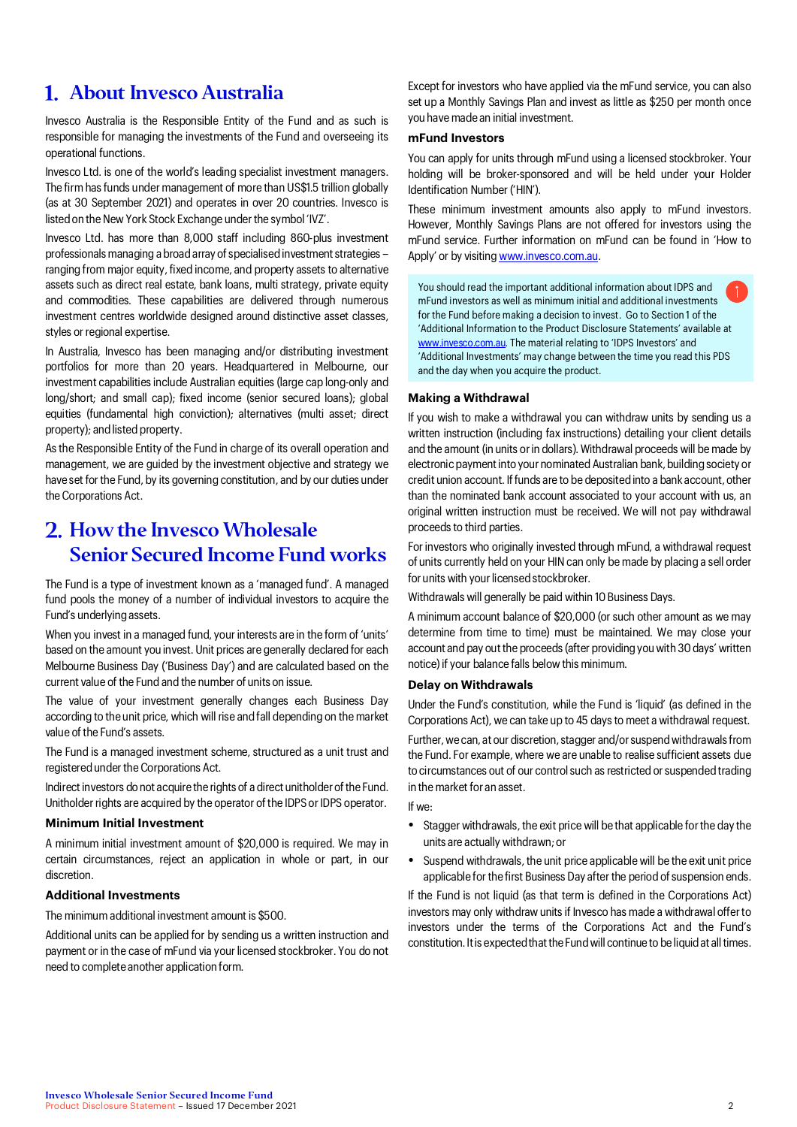# About Invesco Australia

Invesco Australia is the Responsible Entity of the Fund and as such is responsible for managing the investments of the Fund and overseeing its operational functions.

Invesco Ltd. is one of the world's leading specialist investment managers. The firm has funds under management of more than US\$1.5 trillion globally (as at 30 September 2021) and operates in over 20 countries. Invesco is listed on the New York Stock Exchange under the symbol 'IVZ'.

Invesco Ltd. has more than 8,000 staff including 860-plus investment professionals managing a broad array of specialised investment strategies – ranging from major equity, fixed income, and property assets to alternative assets such as direct real estate, bank loans, multi strategy, private equity and commodities. These capabilities are delivered through numerous investment centres worldwide designed around distinctive asset classes, styles or regional expertise.

In Australia, Invesco has been managing and/or distributing investment portfolios for more than 20 years. Headquartered in Melbourne, our investment capabilities include Australian equities (large cap long-only and long/short; and small cap); fixed income (senior secured loans); global equities (fundamental high conviction); alternatives (multi asset; direct property); and listed property.

As the Responsible Entity of the Fund in charge of its overall operation and management, we are guided by the investment objective and strategy we have set for the Fund, by its governing constitution, and by our duties under the Corporations Act.

# 2. How the Invesco Wholesale Senior Secured Income Fund works

The Fund is a type of investment known as a 'managed fund'. A managed fund pools the money of a number of individual investors to acquire the Fund's underlying assets.

When you invest in a managed fund, your interests are in the form of 'units' based on the amount you invest. Unit prices are generally declared for each Melbourne Business Day ('Business Day') and are calculated based on the current value of the Fund and the number of units on issue.

The value of your investment generally changes each Business Day according to the unit price, which will rise and fall depending on the market value of the Fund's assets.

The Fund is a managed investment scheme, structured as a unit trust and registered under the Corporations Act.

Indirect investors do not acquire the rights of a direct unitholder of the Fund. Unitholder rights are acquired by the operator of the IDPS or IDPS operator.

### **Minimum Initial Investment**

A minimum initial investment amount of \$20,000 is required. We may in certain circumstances, reject an application in whole or part, in our discretion.

# **Additional Investments**

The minimum additional investment amount is \$500.

Additional units can be applied for by sending us a written instruction and payment or in the case of mFund via your licensed stockbroker. You do not need to complete another application form.

Except for investors who have applied via the mFund service, you can also set up a Monthly Savings Plan and invest as little as \$250 per month once you have made an initial investment.

### **mFund Investors**

You can apply for units through mFund using a licensed stockbroker. Your holding will be broker-sponsored and will be held under your Holder Identification Number ('HIN').

These minimum investment amounts also apply to mFund investors. However, Monthly Savings Plans are not offered for investors using the mFund service. Further information on mFund can be found in 'How to Apply' or by visitin[g www.invesco.com.au.](http://www.invesco.com.au/)

You should read the important additional information about IDPS and mFund investors as well as minimum initial and additional investments for the Fund before making a decision to invest. Go to Section 1 of the 'Additional Information to the Product Disclosure Statements' available at www.invesco.com.au. The material relating to 'IDPS Investors' and 'Additional Investments' may change between the time you read this PDS and the day when you acquire the product.

# **Making a Withdrawal**

If you wish to make a withdrawal you can withdraw units by sending us a written instruction (including fax instructions) detailing your client details and the amount (in units or in dollars). Withdrawal proceeds will be made by electronic payment into your nominated Australian bank, building society or credit union account. If funds are to be deposited into a bank account, other than the nominated bank account associated to your account with us, an original written instruction must be received. We will not pay withdrawal proceeds to third parties.

For investors who originally invested through mFund, a withdrawal request of units currently held on your HIN can only be made by placing a sell order for units with your licensed stockbroker.

Withdrawals will generally be paid within 10 Business Days.

A minimum account balance of \$20,000 (or such other amount as we may determine from time to time) must be maintained. We may close your account and pay out the proceeds (after providing you with 30 days' written notice) if your balance falls below this minimum.

# **Delay on Withdrawals**

Under the Fund's constitution, while the Fund is 'liquid' (as defined in the Corporations Act), we can take up to 45 days to meet a withdrawal request.

Further, we can, at our discretion, stagger and/or suspend withdrawals from the Fund. For example, where we are unable to realise sufficient assets due to circumstances out of our control such as restricted or suspended trading in the market for an asset.

If we:

- Stagger withdrawals, the exit price will be that applicable for the day the units are actually withdrawn; or
- Suspend withdrawals, the unit price applicable will be the exit unit price applicable for the first Business Day after the period of suspension ends.

If the Fund is not liquid (as that term is defined in the Corporations Act) investors may only withdraw units if Invesco has made a withdrawal offer to investors under the terms of the Corporations Act and the Fund's constitution. It is expected that the Fund will continue to be liquid at all times.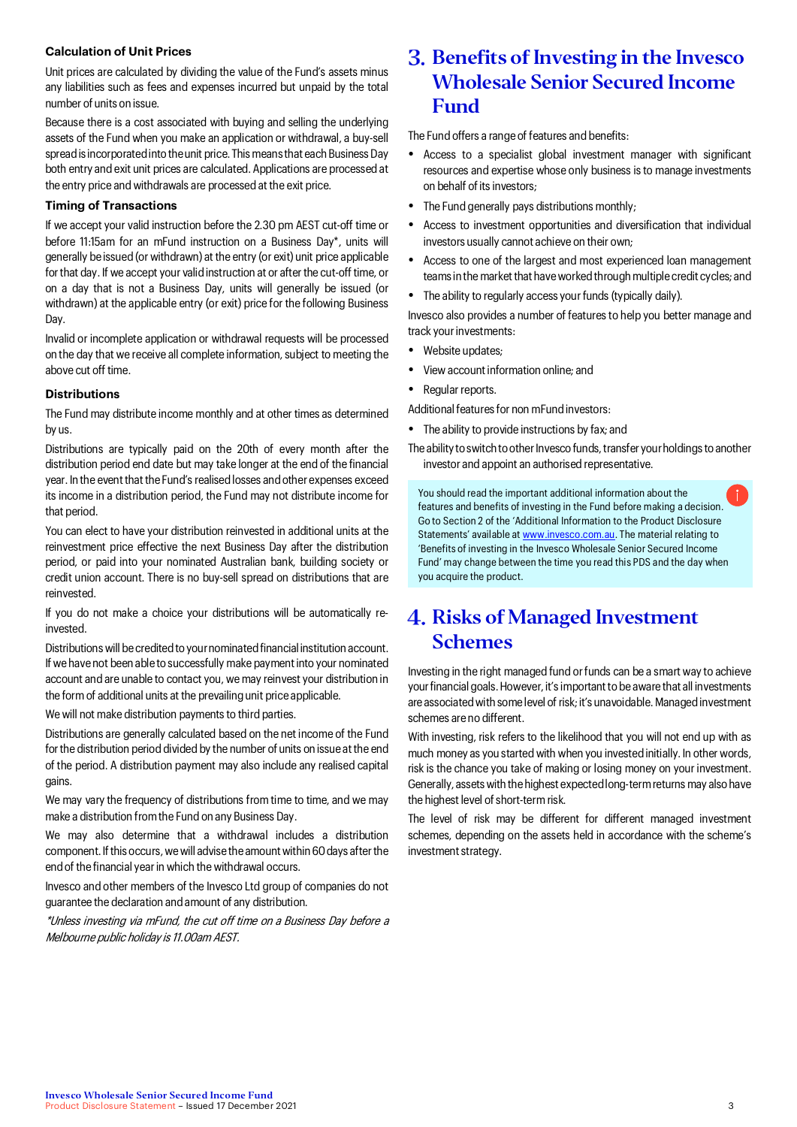# **Calculation of Unit Prices**

Unit prices are calculated by dividing the value of the Fund's assets minus any liabilities such as fees and expenses incurred but unpaid by the total number of units on issue.

Because there is a cost associated with buying and selling the underlying assets of the Fund when you make an application or withdrawal, a buy-sell spread is incorporated into the unit price. This means that each Business Day both entry and exit unit prices are calculated. Applications are processed at the entry price and withdrawals are processed at the exit price.

# **Timing of Transactions**

If we accept your valid instruction before the 2.30 pm AEST cut-off time or before 11:15am for an mFund instruction on a Business Day\*, units will generally be issued (or withdrawn) at the entry (or exit) unit price applicable for that day. If we accept your valid instruction at or after the cut-off time, or on a day that is not a Business Day, units will generally be issued (or withdrawn) at the applicable entry (or exit) price for the following Business Day.

Invalid or incomplete application or withdrawal requests will be processed on the day that we receive all complete information, subject to meeting the above cut off time.

# **Distributions**

The Fund may distribute income monthly and at other times as determined by us.

Distributions are typically paid on the 20th of every month after the distribution period end date but may take longer at the end of the financial year. In the event that the Fund's realised losses and other expenses exceed its income in a distribution period, the Fund may not distribute income for that period.

You can elect to have your distribution reinvested in additional units at the reinvestment price effective the next Business Day after the distribution period, or paid into your nominated Australian bank, building society or credit union account. There is no buy-sell spread on distributions that are reinvested.

If you do not make a choice your distributions will be automatically reinvested.

Distributions will be credited to your nominated financial institution account. If we have not been able to successfully make payment into your nominated account and are unable to contact you, we may reinvest your distribution in the form of additional units at the prevailing unit price applicable.

We will not make distribution payments to third parties.

Distributions are generally calculated based on the net income of the Fund for the distribution period divided by the number of units on issue at the end of the period. A distribution payment may also include any realised capital gains.

We may vary the frequency of distributions from time to time, and we may make a distribution from the Fund on any Business Day.

We may also determine that a withdrawal includes a distribution component. If this occurs, we will advise the amount within60 days after the end of the financial year in which the withdrawal occurs.

Invesco and other members of the Invesco Ltd group of companies do not guarantee the declaration and amount of any distribution.

\*Unless investing via mFund, the cut off time on a Business Day before a Melbourne public holiday is 11.00am AEST.

# Benefits of Investing in the Invesco Wholesale Senior Secured Income Fund

The Fund offers a range of features and benefits:

- Access to a specialist global investment manager with significant resources and expertise whose only business is to manage investments on behalf of its investors;
- The Fund generally pays distributions monthly;
- Access to investment opportunities and diversification that individual investors usually cannot achieve on their own;
- Access to one of the largest and most experienced loan management teams in the market that have worked through multiple credit cycles; and
- The ability to regularly access your funds (typically daily).

Invesco also provides a number of features to help you better manage and track your investments:

- Website updates;
- View account information online; and
- Regular reports.

Additional features for non mFund investors:

- The ability to provide instructions by fax; and
- The ability to switch to other Invesco funds, transfer your holdings to another investor and appoint an authorised representative.

You should read the important additional information about the features and benefits of investing in the Fund before making a decision. Go to Section 2 of the 'Additional Information to the Product Disclosure Statements' available a[t www.invesco.com.au.](file://aumelapplnc02a/County/Marketing/Brand/Branding%202021/4.%20Working%20files/Offer%20Documents/Short%20form%20PDS/www.invesco.com.au) The material relating to 'Benefits of investing in the Invesco Wholesale Senior Secured Income Fund' may change between the time you read this PDS and the day when you acquire the product.

# 4. Risks of Managed Investment Schemes

Investing in the right managed fund or funds can be a smart way to achieve your financial goals. However, it's important to be aware that all investments are associated with some level of risk; it's unavoidable. Managed investment schemes are no different.

With investing, risk refers to the likelihood that you will not end up with as much money as you started with when you invested initially. In other words, risk is the chance you take of making or losing money on your investment. Generally, assets with the highest expected long-term returns may also have the highest level of short-term risk.

The level of risk may be different for different managed investment schemes, depending on the assets held in accordance with the scheme's investment strategy.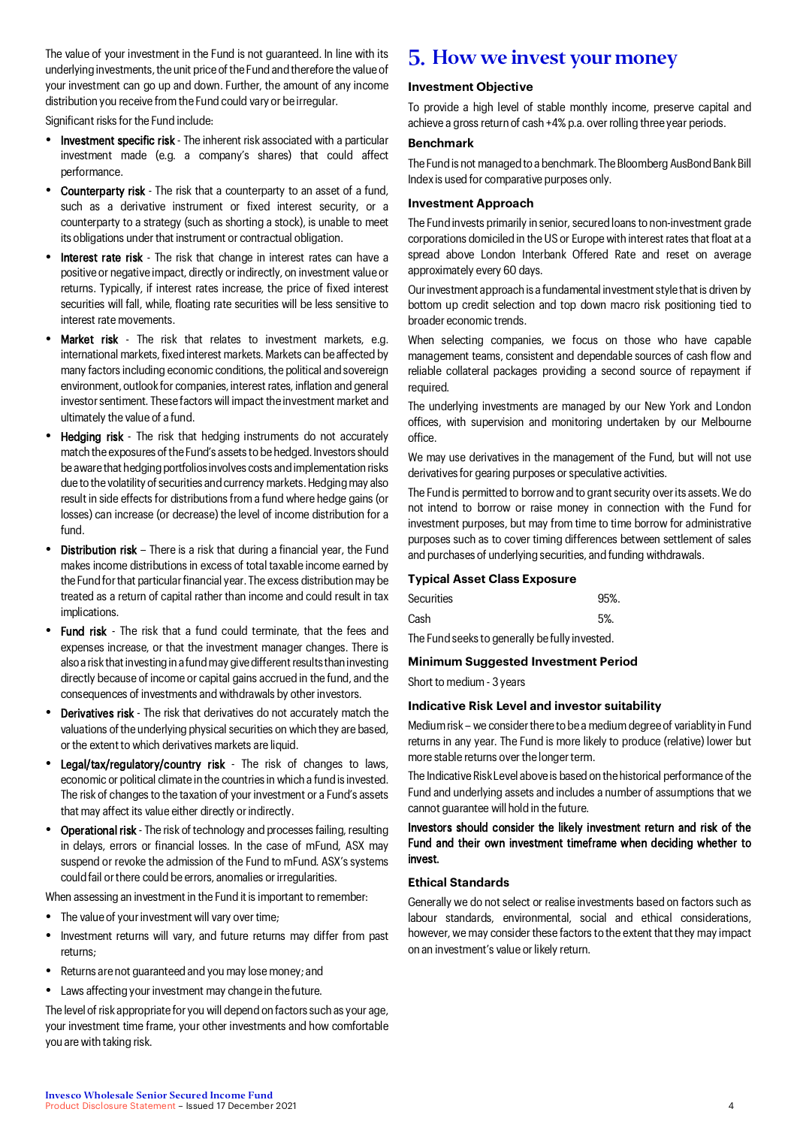The value of your investment in the Fund is not guaranteed. In line with its underlying investments, the unit price of the Fund and therefore the value of your investment can go up and down. Further, the amount of any income distribution you receive from the Fund could vary or be irregular.

Significant risks for the Fund include:

- Investment specific risk The inherent risk associated with a particular investment made (e.g. a company's shares) that could affect performance.
- Counterparty risk The risk that a counterparty to an asset of a fund, such as a derivative instrument or fixed interest security, or a counterparty to a strategy (such as shorting a stock), is unable to meet its obligations under that instrument or contractual obligation.
- Interest rate risk The risk that change in interest rates can have a positive or negative impact, directly or indirectly, on investment value or returns. Typically, if interest rates increase, the price of fixed interest securities will fall, while, floating rate securities will be less sensitive to interest rate movements.
- Market risk The risk that relates to investment markets, e.g. international markets, fixed interest markets. Markets can be affected by many factors including economic conditions, the political and sovereign environment, outlook for companies, interest rates, inflation and general investor sentiment. These factors will impact the investment market and ultimately the value of a fund.
- Hedging risk The risk that hedging instruments do not accurately match the exposures of the Fund's assets to be hedged. Investors should be aware that hedging portfolios involves costs and implementation risks due to the volatility of securities and currency markets. Hedging may also result in side effects for distributions from a fund where hedge gains (or losses) can increase (or decrease) the level of income distribution for a fund.
- Distribution risk There is a risk that during a financial year, the Fund makes income distributions in excess of total taxable income earned by the Fund for that particular financial year. The excess distribution may be treated as a return of capital rather than income and could result in tax implications.
- Fund risk The risk that a fund could terminate, that the fees and expenses increase, or that the investment manager changes. There is also a risk that investing in a fund may give different results than investing directly because of income or capital gains accrued in the fund, and the consequences of investments and withdrawals by other investors.
- Derivatives risk The risk that derivatives do not accurately match the valuations of the underlying physical securities on which they are based, or the extent to which derivatives markets are liquid.
- Legal/tax/regulatory/country risk The risk of changes to laws, economic or political climate in the countries in which a fund is invested. The risk of changes to the taxation of your investment or a Fund's assets that may affect its value either directly or indirectly.
- Operational risk The risk of technology and processes failing, resulting in delays, errors or financial losses. In the case of mFund, ASX may suspend or revoke the admission of the Fund to mFund. ASX's systems could fail or there could be errors, anomalies or irregularities.

When assessing an investment in the Fund it is important to remember:

- The value of your investment will vary over time;
- Investment returns will vary, and future returns may differ from past returns;
- Returns are not guaranteed and you may lose money; and
- Laws affecting your investment may change in the future.

The level of risk appropriate for you will depend on factors such as your age, your investment time frame, your other investments and how comfortable you are with taking risk.

# 5. How we invest your money

# **Investment Objective**

To provide a high level of stable monthly income, preserve capital and achieve a gross return of cash +4% p.a. over rolling three year periods.

# **Benchmark**

The Fund is not managed to a benchmark. The Bloomberg AusBond Bank Bill Index is used for comparative purposes only.

#### **Investment Approach**

The Fund invests primarily in senior, secured loans to non-investment grade corporations domiciled in the US or Europe with interest rates that float at a spread above London Interbank Offered Rate and reset on average approximately every 60 days.

Our investment approach is a fundamental investment style that is driven by bottom up credit selection and top down macro risk positioning tied to broader economic trends.

When selecting companies, we focus on those who have capable management teams, consistent and dependable sources of cash flow and reliable collateral packages providing a second source of repayment if required.

The underlying investments are managed by our New York and London offices, with supervision and monitoring undertaken by our Melbourne office.

We may use derivatives in the management of the Fund, but will not use derivatives for gearing purposes or speculative activities.

The Fund is permitted to borrow and to grant security over its assets. We do not intend to borrow or raise money in connection with the Fund for investment purposes, but may from time to time borrow for administrative purposes such as to cover timing differences between settlement of sales and purchases of underlying securities, and funding withdrawals.

# **Typical Asset Class Exposure**

| Securities                                     | 95%. |  |  |  |
|------------------------------------------------|------|--|--|--|
| Cash                                           | .5%  |  |  |  |
| The Fund seeks to generally be fully invested. |      |  |  |  |

# **Minimum Suggested Investment Period**

Short to medium - 3 years

#### **Indicative Risk Level and investor suitability**

Medium risk – we consider there to be a medium degree of variablity in Fund returns in any year. The Fund is more likely to produce (relative) lower but more stable returns over the longer term.

The Indicative Risk Level above is based on the historical performance of the Fund and underlying assets and includes a number of assumptions that we cannot guarantee will hold in the future.

# Investors should consider the likely investment return and risk of the Fund and their own investment timeframe when deciding whether to invest.

#### **Ethical Standards**

Generally we do not select or realise investments based on factors such as labour standards, environmental, social and ethical considerations, however, we may consider these factors to the extent that they may impact on an investment's value or likely return.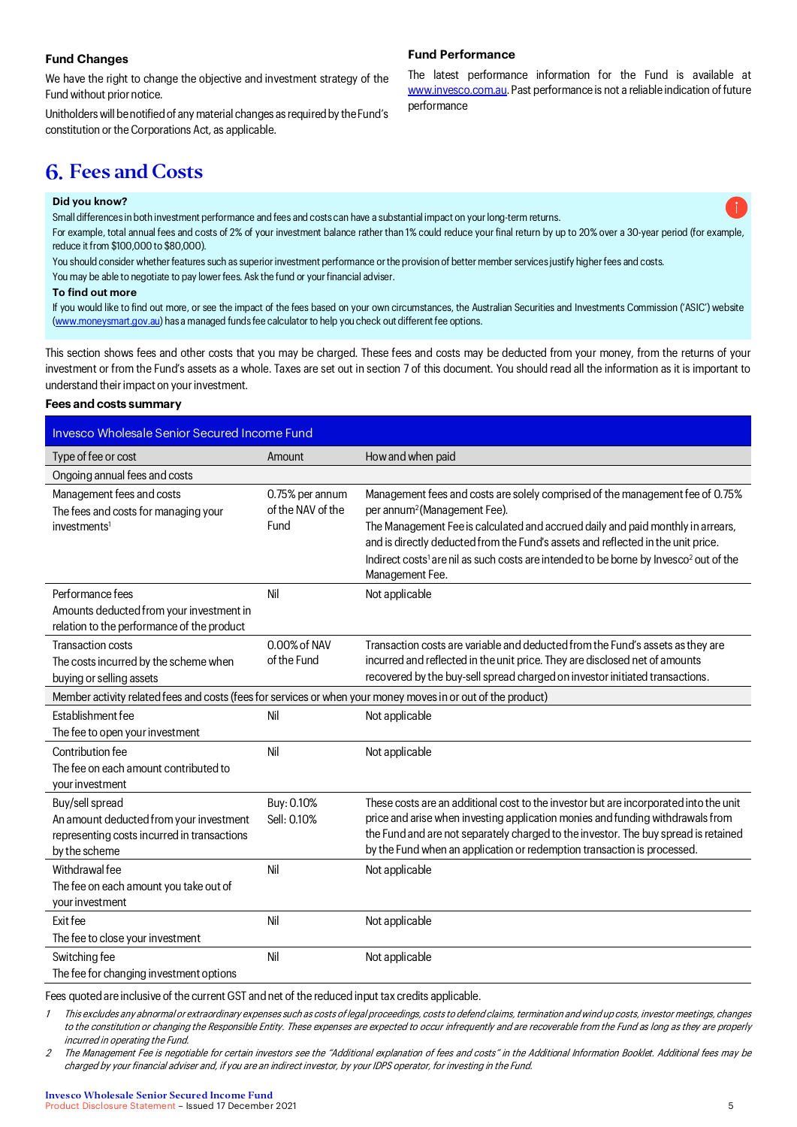# **Fund Changes**

We have the right to change the objective and investment strategy of the Fund without prior notice.

Unitholders will be notified of any material changes as required by the Fund's constitution or the Corporations Act, as applicable.

### **Fund Performance**

The latest performance information for the Fund is available at www.invesco.com.au. Past performance is not a reliable indication of future performance

# **6. Fees and Costs**

#### **Did you know?**

Small differences in both investment performance and fees and costs can have a substantial impact on your long-term returns.

For example, total annual fees and costs of 2% of your investment balance rather than 1% could reduce your final return by up to 20% over a 30-year period (for example, reduce it from \$100,000 to \$80,000).

You should consider whether features such as superior investment performance or the provision of better member services justify higher fees and costs.

You may be able to negotiate to pay lower fees. Ask the fund or your financial adviser.

#### **To find out more**

If you would like to find out more, or see the impact of the fees based on your own circumstances, the Australian Securities and Investments Commission ('ASIC') website (www.moneysmart.gov.au) has a managed funds fee calculator to help you check out different fee options.

This section shows fees and other costs that you may be charged. These fees and costs may be deducted from your money, from the returns of your investment or from the Fund's assets as a whole. Taxes are set out in section 7 of this document. You should read all the information as it is important to understand their impact on your investment.

### **Fees and costs summary**

| Invesco Wholesale Senior Secured Income Fund                                                                               |                                              |                                                                                                                                                                                                                                                                                                                                                                                                                                      |  |  |  |
|----------------------------------------------------------------------------------------------------------------------------|----------------------------------------------|--------------------------------------------------------------------------------------------------------------------------------------------------------------------------------------------------------------------------------------------------------------------------------------------------------------------------------------------------------------------------------------------------------------------------------------|--|--|--|
| Type of fee or cost                                                                                                        | Amount                                       | How and when paid                                                                                                                                                                                                                                                                                                                                                                                                                    |  |  |  |
| Ongoing annual fees and costs                                                                                              |                                              |                                                                                                                                                                                                                                                                                                                                                                                                                                      |  |  |  |
| Management fees and costs<br>The fees and costs for managing your<br>investments <sup>1</sup>                              | 0.75% per annum<br>of the NAV of the<br>Fund | Management fees and costs are solely comprised of the management fee of 0.75%<br>per annum <sup>2</sup> (Management Fee).<br>The Management Fee is calculated and accrued daily and paid monthly in arrears,<br>and is directly deducted from the Fund's assets and reflected in the unit price.<br>Indirect costs <sup>1</sup> are nil as such costs are intended to be borne by Invesco <sup>2</sup> out of the<br>Management Fee. |  |  |  |
| Performance fees<br>Amounts deducted from your investment in<br>relation to the performance of the product                 | Nil                                          | Not applicable                                                                                                                                                                                                                                                                                                                                                                                                                       |  |  |  |
| Transaction costs<br>The costs incurred by the scheme when<br>buying or selling assets                                     | 0.00% of NAV<br>of the Fund                  | Transaction costs are variable and deducted from the Fund's assets as they are<br>incurred and reflected in the unit price. They are disclosed net of amounts<br>recovered by the buy-sell spread charged on investor initiated transactions.                                                                                                                                                                                        |  |  |  |
| Member activity related fees and costs (fees for services or when your money moves in or out of the product)               |                                              |                                                                                                                                                                                                                                                                                                                                                                                                                                      |  |  |  |
| Establishment fee<br>The fee to open your investment                                                                       | Nil                                          | Not applicable                                                                                                                                                                                                                                                                                                                                                                                                                       |  |  |  |
| Contribution fee<br>The fee on each amount contributed to<br>your investment                                               | Nil                                          | Not applicable                                                                                                                                                                                                                                                                                                                                                                                                                       |  |  |  |
| Buy/sell spread<br>An amount deducted from your investment<br>representing costs incurred in transactions<br>by the scheme | Buy: 0.10%<br>Sell: 0.10%                    | These costs are an additional cost to the investor but are incorporated into the unit<br>price and arise when investing application monies and funding withdrawals from<br>the Fund and are not separately charged to the investor. The buy spread is retained<br>by the Fund when an application or redemption transaction is processed.                                                                                            |  |  |  |
| Withdrawal fee<br>The fee on each amount you take out of<br>your investment                                                | Nil                                          | Not applicable                                                                                                                                                                                                                                                                                                                                                                                                                       |  |  |  |
| Exit fee<br>The fee to close your investment                                                                               | Nil                                          | Not applicable                                                                                                                                                                                                                                                                                                                                                                                                                       |  |  |  |
| Switching fee<br>The fee for changing investment options                                                                   | Nil                                          | Not applicable                                                                                                                                                                                                                                                                                                                                                                                                                       |  |  |  |

Fees quoted are inclusive of the current GST and net of the reduced input tax credits applicable.

1 This excludes any abnormal or extraordinary expenses such as costs of legal proceedings, costs to defend claims, termination and wind up costs, investor meetings, changes to the constitution or changing the Responsible Entity. These expenses are expected to occur infrequently and are recoverable from the Fund as long as they are properly incurred in operating the Fund.

2 The Management Fee is negotiable for certain investors see the "Additional explanation of fees and costs" in the Additional Information Booklet. Additional fees may be charged by your financial adviser and, if you are an indirect investor, by your IDPS operator, for investing in the Fund.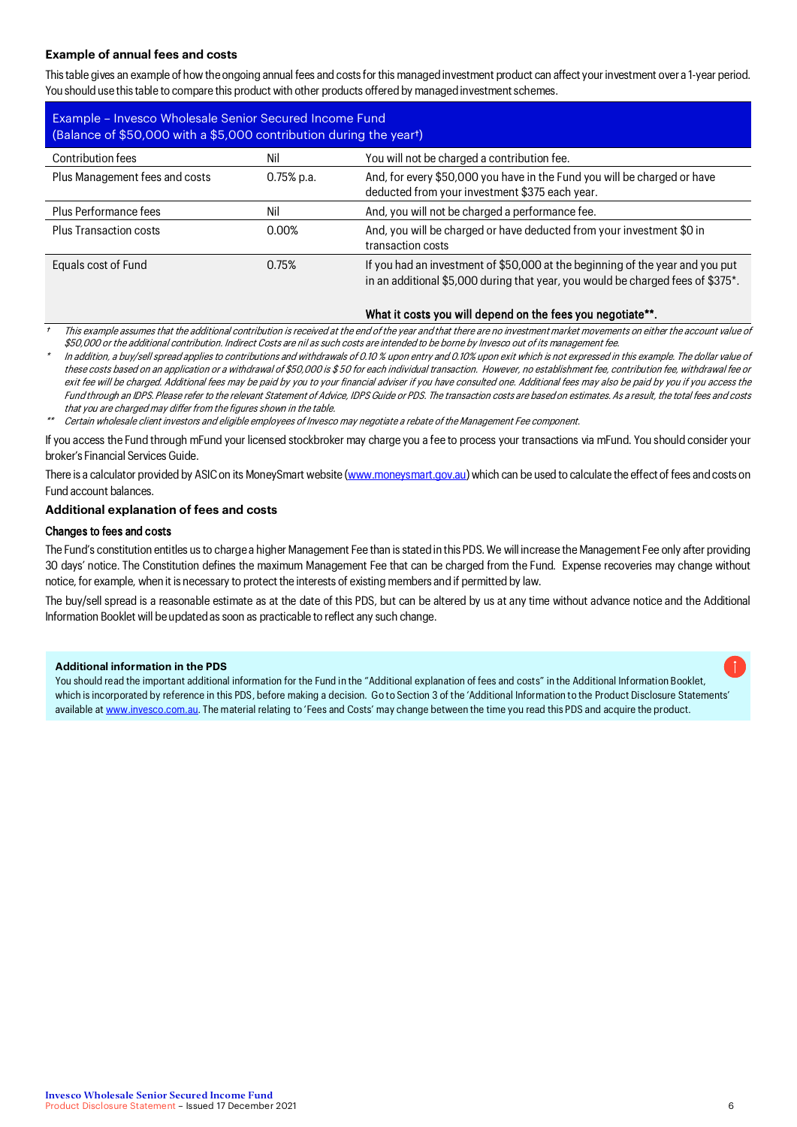# **Example of annual fees and costs**

This table gives an example of how theongoing annual fees and costs for this managed investment product can affect your investment over a 1-year period. You should use this table to compare this product with other products offered by managed investment schemes.

| Example - Invesco Wholesale Senior Secured Income Fund<br>(Balance of \$50,000 with a \$5,000 contribution during the yeart) |               |                                                                                                                                                                  |  |  |  |
|------------------------------------------------------------------------------------------------------------------------------|---------------|------------------------------------------------------------------------------------------------------------------------------------------------------------------|--|--|--|
| Contribution fees                                                                                                            | Nil           | You will not be charged a contribution fee.                                                                                                                      |  |  |  |
| Plus Management fees and costs                                                                                               | $0.75\%$ p.a. | And, for every \$50,000 you have in the Fund you will be charged or have<br>deducted from your investment \$375 each year.                                       |  |  |  |
| Plus Performance fees                                                                                                        | Nil           | And, you will not be charged a performance fee.                                                                                                                  |  |  |  |
| Plus Transaction costs                                                                                                       | 0.00%         | And, you will be charged or have deducted from your investment \$0 in<br>transaction costs                                                                       |  |  |  |
| Equals cost of Fund                                                                                                          | 0.75%         | If you had an investment of \$50,000 at the beginning of the year and you put<br>in an additional \$5,000 during that year, you would be charged fees of \$375*. |  |  |  |

# What it costs you will depend on the fees you negotiate\*\*.

†This example assumes that the additional contribution is received at the end of the year and that there are no investment market movements on either the account value of \$50,000 or the additional contribution. Indirect Costs are nil as such costs are intended to be borne by Invesco out of its management fee.

\* In addition, a buy/sell spread applies to contributions and withdrawals of 0.10 % upon entry and 0.10% upon exit which is not expressed in this example. The dollar value of these costs based on an application or a withdrawal of \$50,000 is \$ 50 for each individual transaction. However, no establishment fee, contribution fee, withdrawal fee or exit fee will be charged. Additional fees may be paid by you to your financial adviser if you have consulted one. Additional fees may also be paid by you if you access the Fund through an IDPS. Please refer to the relevant Statement of Advice, IDPS Guide or PDS. The transaction costs are based on estimates. As a result, the total fees and costs that you are charged may differ from the figures shown in the table.

\*\*Certain wholesale client investors and eligible employees of Invesco may negotiate a rebate of the Management Fee component.

If you access the Fund through mFund your licensed stockbroker may charge you a fee to process your transactions via mFund. You should consider your broker's Financial Services Guide.

There is a calculator provided by ASIC on its MoneySmart website (www.moneysmart.gov.au) which can be used to calculate the effect of fees and costs on Fund account balances.

### **Additional explanation of fees and costs**

### Changes to fees and costs

The Fund's constitution entitles us to charge a higher Management Fee than is stated in this PDS. We will increase the Management Fee only after providing 30 days' notice. The Constitution defines the maximum Management Fee that can be charged from the Fund. Expense recoveries may change without notice, for example, when it is necessary to protect the interests of existing members and if permitted by law.

The buy/sell spread is a reasonable estimate as at the date of this PDS, but can be altered by us at any time without advance notice and the Additional Information Booklet will be updated as soon as practicable to reflect any such change.

# **Additional information in the PDS**

You should read the important additional information for the Fund in the "Additional explanation of fees and costs" in the Additional Information Booklet, which is incorporated by reference in this PDS, before making a decision. Go to Section 3 of the 'Additional Information to the Product Disclosure Statements' available a[t www.invesco.com.au.](file://aumelapplnc02a/County/Marketing/Brand/Branding%202021/4.%20Working%20files/Offer%20Documents/Short%20form%20PDS/www.invesco.com.au) The material relating to 'Fees and Costs' may change between the time you read this PDS and acquire the product.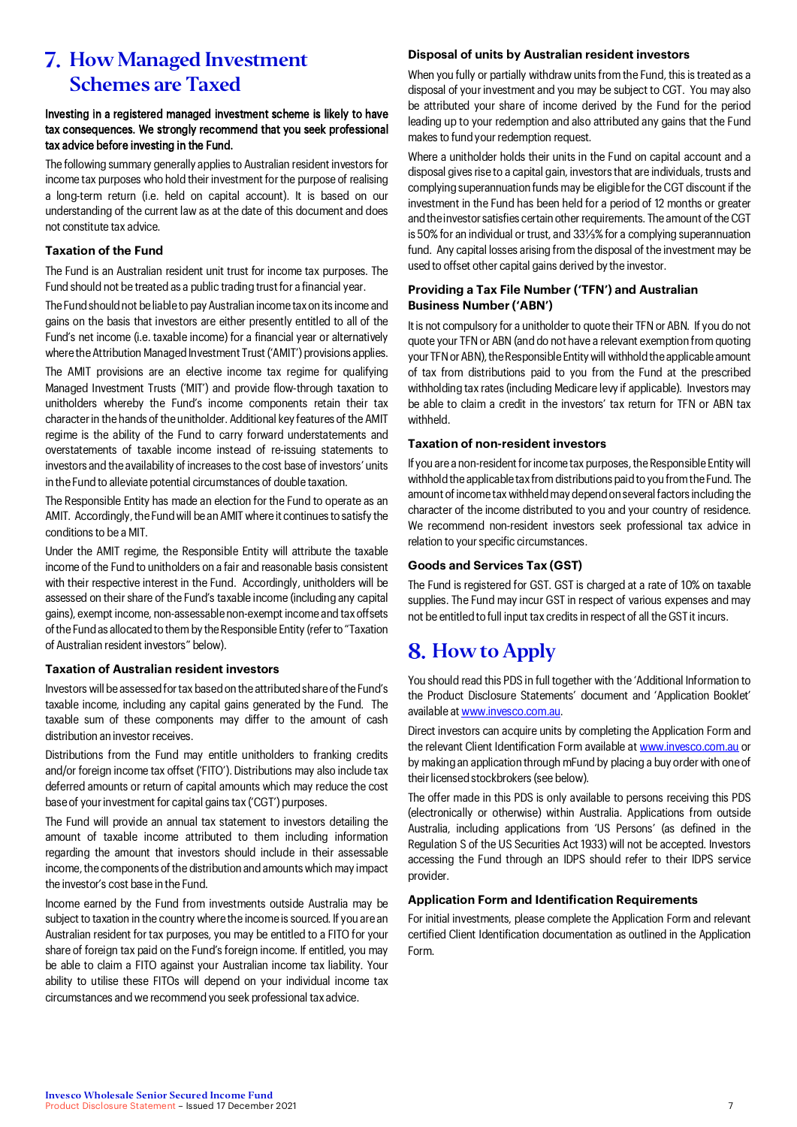# **7. How Managed Investment** Schemes are Taxed

# Investing in a registered managed investment scheme is likely to have tax consequences. We strongly recommend that you seek professional tax advice before investing in the Fund.

The following summary generally applies to Australian resident investors for income tax purposes who hold their investment for the purpose of realising a long-term return (i.e. held on capital account). It is based on our understanding of the current law as at the date of this document and does not constitute tax advice.

# **Taxation of the Fund**

The Fund is an Australian resident unit trust for income tax purposes. The Fund should not be treated as a public trading trust for a financial year.

The Fund should not be liable to pay Australian income tax on its income and gains on the basis that investors are either presently entitled to all of the Fund's net income (i.e. taxable income) for a financial year or alternatively where the Attribution Managed Investment Trust ('AMIT') provisions applies.

The AMIT provisions are an elective income tax regime for qualifying Managed Investment Trusts ('MIT') and provide flow-through taxation to unitholders whereby the Fund's income components retain their tax character in the hands of the unitholder. Additional key features of the AMIT regime is the ability of the Fund to carry forward understatements and overstatements of taxable income instead of re-issuing statements to investors and the availability of increases to the cost base of investors' units in the Fund to alleviate potential circumstances of double taxation.

The Responsible Entity has made an election for the Fund to operate as an AMIT. Accordingly, the Fund will be an AMIT where it continues to satisfy the conditions to be a MIT.

Under the AMIT regime, the Responsible Entity will attribute the taxable income of the Fund to unitholders on a fair and reasonable basis consistent with their respective interest in the Fund. Accordingly, unitholders will be assessed on their share of the Fund's taxable income (including any capital gains), exempt income, non-assessable non-exempt income and tax offsets of the Fund as allocated to them by the Responsible Entity (refer to "Taxation of Australian resident investors" below).

# **Taxation of Australian resident investors**

Investors will be assessed for tax based on the attributed share of the Fund's taxable income, including any capital gains generated by the Fund. The taxable sum of these components may differ to the amount of cash distribution an investor receives.

Distributions from the Fund may entitle unitholders to franking credits and/or foreign income tax offset ('FITO'). Distributions may also include tax deferred amounts or return of capital amounts which may reduce the cost base of your investment for capital gains tax ('CGT') purposes.

The Fund will provide an annual tax statement to investors detailing the amount of taxable income attributed to them including information regarding the amount that investors should include in their assessable income, the components of the distribution and amounts which may impact the investor's cost base in the Fund.

Income earned by the Fund from investments outside Australia may be subject to taxation in the country where the income is sourced. If you are an Australian resident for tax purposes, you may be entitled to a FITO for your share of foreign tax paid on the Fund's foreign income. If entitled, you may be able to claim a FITO against your Australian income tax liability. Your ability to utilise these FITOs will depend on your individual income tax circumstances and we recommend you seek professional tax advice.

### **Disposal of units by Australian resident investors**

When you fully or partially withdraw units from the Fund, this is treated as a disposal of your investment and you may be subject to CGT. You may also be attributed your share of income derived by the Fund for the period leading up to your redemption and also attributed any gains that the Fund makes to fund your redemption request.

Where a unitholder holds their units in the Fund on capital account and a disposal gives rise to a capital gain, investors that are individuals, trusts and complying superannuation funds may be eligible for the CGT discount if the investment in the Fund has been held for a period of 12 months or greater and the investor satisfies certain other requirements. The amount of the CGT is 50% for an individual or trust, and 33⅓% for a complying superannuation fund. Any capital losses arising from the disposal of the investment may be used to offset other capital gains derived by the investor.

# **Providing a Tax File Number ('TFN') and Australian Business Number ('ABN')**

It is not compulsory for a unitholder to quote their TFN or ABN. If you do not quote your TFN or ABN (and do not have a relevant exemption from quoting your TFN or ABN), the Responsible Entity will withhold the applicable amount of tax from distributions paid to you from the Fund at the prescribed withholding tax rates (including Medicare levy if applicable). Investors may be able to claim a credit in the investors' tax return for TFN or ABN tax withheld.

# **Taxation of non-resident investors**

If you are a non-resident for income tax purposes, the Responsible Entity will withhold the applicable tax from distributions paid to you from the Fund. The amount of income tax withheld may depend on several factors including the character of the income distributed to you and your country of residence. We recommend non-resident investors seek professional tax advice in relation to your specific circumstances.

# **Goods and Services Tax (GST)**

The Fund is registered for GST. GST is charged at a rate of 10% on taxable supplies. The Fund may incur GST in respect of various expenses and may not be entitled to full input tax credits in respect of all the GST it incurs.

# 8. How to Apply

You should read this PDS in full together with the 'Additional Information to the Product Disclosure Statements' document and 'Application Booklet' available a[t www.invesco.com.au.](http://www.invesco.com.au/) 

Direct investors can acquire units by completing the Application Form and the relevant Client Identification Form available a[t www.invesco.com.au](http://www.invesco.com.au/) or by making an application through mFund by placing a buy order with one of their licensed stockbrokers (see below).

The offer made in this PDS is only available to persons receiving this PDS (electronically or otherwise) within Australia. Applications from outside Australia, including applications from 'US Persons' (as defined in the Regulation S of the US Securities Act 1933) will not be accepted. Investors accessing the Fund through an IDPS should refer to their IDPS service provider.

### **Application Form and Identification Requirements**

For initial investments, please complete the Application Form and relevant certified Client Identification documentation as outlined in the Application Form.